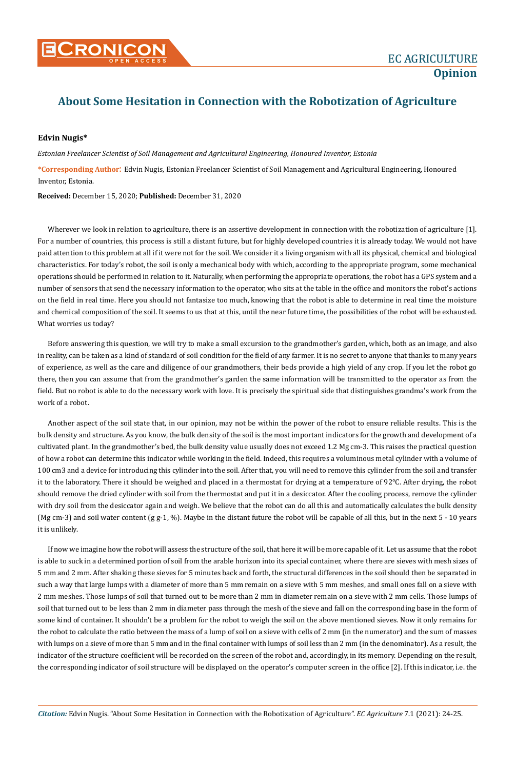

## **About Some Hesitation in Connection with the Robotization of Agriculture**

## **Edvin Nugis\***

*Estonian Freelancer Scientist of Soil Management and Agricultural Engineering, Honoured Inventor, Estonia*

**\*Corresponding Author**: Edvin Nugis, Estonian Freelancer Scientist of Soil Management and Agricultural Engineering, Honoured Inventor, Estonia.

**Received:** December 15, 2020; **Published:** December 31, 2020

Wherever we look in relation to agriculture, there is an assertive development in connection with the robotization of agriculture [1]. For a number of countries, this process is still a distant future, but for highly developed countries it is already today. We would not have paid attention to this problem at all if it were not for the soil. We consider it a living organism with all its physical, chemical and biological characteristics. For today's robot, the soil is only a mechanical body with which, according to the appropriate program, some mechanical operations should be performed in relation to it. Naturally, when performing the appropriate operations, the robot has a GPS system and a number of sensors that send the necessary information to the operator, who sits at the table in the office and monitors the robot's actions on the field in real time. Here you should not fantasize too much, knowing that the robot is able to determine in real time the moisture and chemical composition of the soil. It seems to us that at this, until the near future time, the possibilities of the robot will be exhausted. What worries us today?

Before answering this question, we will try to make a small excursion to the grandmother's garden, which, both as an image, and also in reality, can be taken as a kind of standard of soil condition for the field of any farmer. It is no secret to anyone that thanks to many years of experience, as well as the care and diligence of our grandmothers, their beds provide a high yield of any crop. If you let the robot go there, then you can assume that from the grandmother's garden the same information will be transmitted to the operator as from the field. But no robot is able to do the necessary work with love. It is precisely the spiritual side that distinguishes grandma's work from the work of a robot.

Another aspect of the soil state that, in our opinion, may not be within the power of the robot to ensure reliable results. This is the bulk density and structure. As you know, the bulk density of the soil is the most important indicators for the growth and development of a cultivated plant. In the grandmother's bed, the bulk density value usually does not exceed 1.2 Mg cm-3. This raises the practical question of how a robot can determine this indicator while working in the field. Indeed, this requires a voluminous metal cylinder with a volume of 100 cm3 and a device for introducing this cylinder into the soil. After that, you will need to remove this cylinder from the soil and transfer it to the laboratory. There it should be weighed and placed in a thermostat for drying at a temperature of 92°C. After drying, the robot should remove the dried cylinder with soil from the thermostat and put it in a desiccator. After the cooling process, remove the cylinder with dry soil from the desiccator again and weigh. We believe that the robot can do all this and automatically calculates the bulk density (Mg cm-3) and soil water content (g g-1, %). Maybe in the distant future the robot will be capable of all this, but in the next 5 - 10 years it is unlikely.

If now we imagine how the robot will assess the structure of the soil, that here it will be more capable of it. Let us assume that the robot is able to suck in a determined portion of soil from the arable horizon into its special container, where there are sieves with mesh sizes of 5 mm and 2 mm. After shaking these sieves for 5 minutes back and forth, the structural differences in the soil should then be separated in such a way that large lumps with a diameter of more than 5 mm remain on a sieve with 5 mm meshes, and small ones fall on a sieve with 2 mm meshes. Those lumps of soil that turned out to be more than 2 mm in diameter remain on a sieve with 2 mm cells. Those lumps of soil that turned out to be less than 2 mm in diameter pass through the mesh of the sieve and fall on the corresponding base in the form of some kind of container. It shouldn't be a problem for the robot to weigh the soil on the above mentioned sieves. Now it only remains for the robot to calculate the ratio between the mass of a lump of soil on a sieve with cells of 2 mm (in the numerator) and the sum of masses with lumps on a sieve of more than 5 mm and in the final container with lumps of soil less than 2 mm (in the denominator). As a result, the indicator of the structure coefficient will be recorded on the screen of the robot and, accordingly, in its memory. Depending on the result, the corresponding indicator of soil structure will be displayed on the operator's computer screen in the office [2]. If this indicator, i.e. the